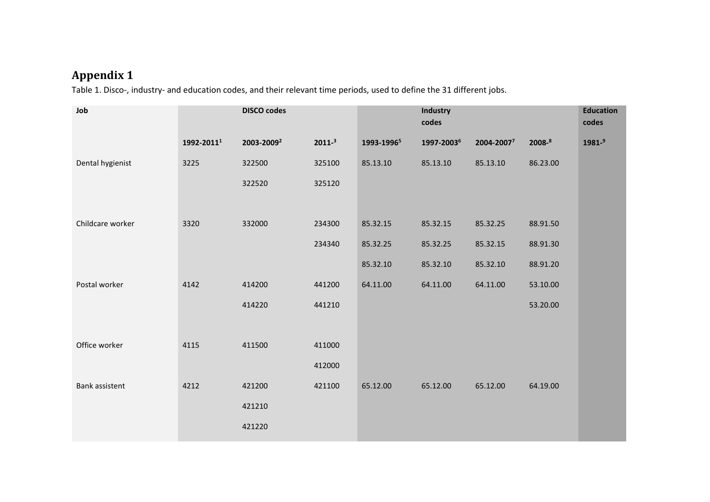## **Appendix 1**

Table 1. Disco-, industry- and education codes, and their relevant time periods, used to define the 31 different jobs.

| Job              |            | <b>DISCO codes</b>     |            |                        | <b>Industry</b><br>codes |            |          | <b>Education</b><br>codes |
|------------------|------------|------------------------|------------|------------------------|--------------------------|------------|----------|---------------------------|
|                  | 1992-20111 | 2003-2009 <sup>2</sup> | $2011 - 3$ | 1993-1996 <sup>5</sup> | 1997-20036               | 2004-20077 | 2008-8   | $1981 -$ <sup>9</sup>     |
| Dental hygienist | 3225       | 322500                 | 325100     | 85.13.10               | 85.13.10                 | 85.13.10   | 86.23.00 |                           |
|                  |            | 322520                 | 325120     |                        |                          |            |          |                           |
|                  |            |                        |            |                        |                          |            |          |                           |
| Childcare worker | 3320       | 332000                 | 234300     | 85.32.15               | 85.32.15                 | 85.32.25   | 88.91.50 |                           |
|                  |            |                        | 234340     | 85.32.25               | 85.32.25                 | 85.32.15   | 88.91.30 |                           |
|                  |            |                        |            | 85.32.10               | 85.32.10                 | 85.32.10   | 88.91.20 |                           |
| Postal worker    | 4142       | 414200                 | 441200     | 64.11.00               | 64.11.00                 | 64.11.00   | 53.10.00 |                           |
|                  |            | 414220                 | 441210     |                        |                          |            | 53.20.00 |                           |
|                  |            |                        |            |                        |                          |            |          |                           |
| Office worker    | 4115       | 411500                 | 411000     |                        |                          |            |          |                           |
|                  |            |                        | 412000     |                        |                          |            |          |                           |
| Bank assistent   | 4212       | 421200                 | 421100     | 65.12.00               | 65.12.00                 | 65.12.00   | 64.19.00 |                           |
|                  |            | 421210                 |            |                        |                          |            |          |                           |
|                  |            | 421220                 |            |                        |                          |            |          |                           |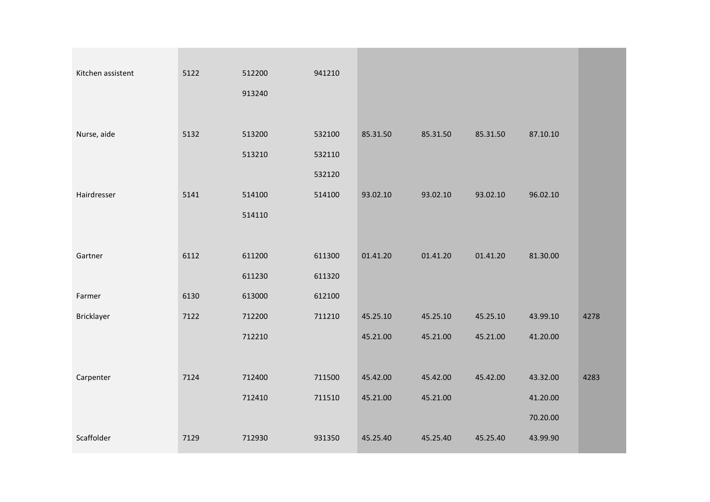| Kitchen assistent | 5122 | 512200 | 941210 |          |          |          |          |      |
|-------------------|------|--------|--------|----------|----------|----------|----------|------|
|                   |      | 913240 |        |          |          |          |          |      |
|                   |      |        |        |          |          |          |          |      |
| Nurse, aide       | 5132 | 513200 | 532100 | 85.31.50 | 85.31.50 | 85.31.50 | 87.10.10 |      |
|                   |      | 513210 | 532110 |          |          |          |          |      |
|                   |      |        | 532120 |          |          |          |          |      |
| Hairdresser       | 5141 | 514100 | 514100 | 93.02.10 | 93.02.10 | 93.02.10 | 96.02.10 |      |
|                   |      | 514110 |        |          |          |          |          |      |
|                   |      |        |        |          |          |          |          |      |
|                   |      |        |        |          |          |          |          |      |
| Gartner           | 6112 | 611200 | 611300 | 01.41.20 | 01.41.20 | 01.41.20 | 81.30.00 |      |
|                   |      | 611230 | 611320 |          |          |          |          |      |
| Farmer            | 6130 | 613000 | 612100 |          |          |          |          |      |
| Bricklayer        | 7122 | 712200 | 711210 | 45.25.10 | 45.25.10 | 45.25.10 | 43.99.10 | 4278 |
|                   |      | 712210 |        | 45.21.00 | 45.21.00 | 45.21.00 | 41.20.00 |      |
|                   |      |        |        |          |          |          |          |      |
| Carpenter         | 7124 | 712400 | 711500 | 45.42.00 | 45.42.00 | 45.42.00 | 43.32.00 | 4283 |
|                   |      | 712410 | 711510 | 45.21.00 | 45.21.00 |          | 41.20.00 |      |
|                   |      |        |        |          |          |          | 70.20.00 |      |
| Scaffolder        | 7129 | 712930 | 931350 | 45.25.40 | 45.25.40 | 45.25.40 | 43.99.90 |      |
|                   |      |        |        |          |          |          |          |      |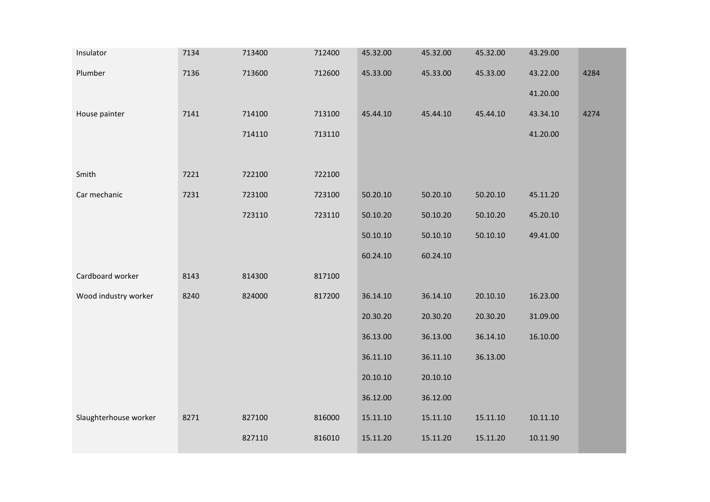| Insulator             | 7134 | 713400 | 712400 | 45.32.00 | 45.32.00 | 45.32.00 | 43.29.00 |      |
|-----------------------|------|--------|--------|----------|----------|----------|----------|------|
| Plumber               | 7136 | 713600 | 712600 | 45.33.00 | 45.33.00 | 45.33.00 | 43.22.00 | 4284 |
|                       |      |        |        |          |          |          | 41.20.00 |      |
| House painter         | 7141 | 714100 | 713100 | 45.44.10 | 45.44.10 | 45.44.10 | 43.34.10 | 4274 |
|                       |      | 714110 | 713110 |          |          |          | 41.20.00 |      |
|                       |      |        |        |          |          |          |          |      |
| Smith                 | 7221 | 722100 | 722100 |          |          |          |          |      |
| Car mechanic          | 7231 | 723100 | 723100 | 50.20.10 | 50.20.10 | 50.20.10 | 45.11.20 |      |
|                       |      | 723110 | 723110 | 50.10.20 | 50.10.20 | 50.10.20 | 45.20.10 |      |
|                       |      |        |        | 50.10.10 | 50.10.10 | 50.10.10 | 49.41.00 |      |
|                       |      |        |        | 60.24.10 | 60.24.10 |          |          |      |
| Cardboard worker      | 8143 | 814300 | 817100 |          |          |          |          |      |
| Wood industry worker  | 8240 | 824000 | 817200 | 36.14.10 | 36.14.10 | 20.10.10 | 16.23.00 |      |
|                       |      |        |        | 20.30.20 | 20.30.20 | 20.30.20 | 31.09.00 |      |
|                       |      |        |        | 36.13.00 | 36.13.00 | 36.14.10 | 16.10.00 |      |
|                       |      |        |        | 36.11.10 | 36.11.10 | 36.13.00 |          |      |
|                       |      |        |        | 20.10.10 | 20.10.10 |          |          |      |
|                       |      |        |        | 36.12.00 | 36.12.00 |          |          |      |
| Slaughterhouse worker | 8271 | 827100 | 816000 | 15.11.10 | 15.11.10 | 15.11.10 | 10.11.10 |      |
|                       |      | 827110 | 816010 | 15.11.20 | 15.11.20 | 15.11.20 | 10.11.90 |      |
|                       |      |        |        |          |          |          |          |      |